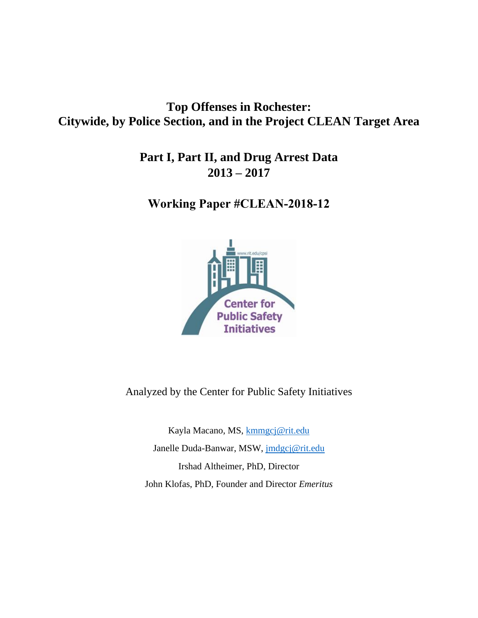# **Top Offenses in Rochester: Citywide, by Police Section, and in the Project CLEAN Target Area**

**Part I, Part II, and Drug Arrest Data 2013 – 2017** 

**Working Paper #CLEAN-2018-12**



Analyzed by the Center for Public Safety Initiatives

Kayla Macano, MS, [kmmgcj@rit.edu](mailto:kmmgcj@rit.edu) Janelle Duda-Banwar, MSW, [jmdgcj@rit.edu](mailto:jmdgcj@rit.edu) Irshad Altheimer, PhD, Director John Klofas, PhD, Founder and Director *Emeritus*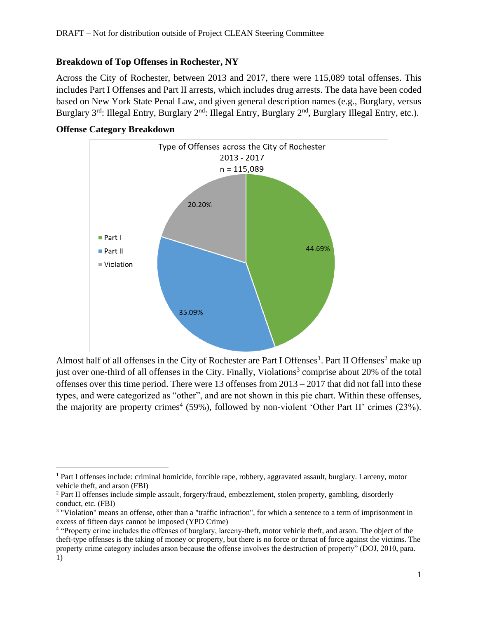### **Breakdown of Top Offenses in Rochester, NY**

Across the City of Rochester, between 2013 and 2017, there were 115,089 total offenses. This includes Part I Offenses and Part II arrests, which includes drug arrests. The data have been coded based on New York State Penal Law, and given general description names (e.g., Burglary, versus Burglary 3<sup>rd</sup>: Illegal Entry, Burglary 2<sup>nd</sup>: Illegal Entry, Burglary 2<sup>nd</sup>, Burglary Illegal Entry, etc.).

## **Offense Category Breakdown**



Almost half of all offenses in the City of Rochester are Part I Offenses<sup>1</sup>. Part II Offenses<sup>2</sup> make up just over one-third of all offenses in the City. Finally, Violations<sup>3</sup> comprise about 20% of the total offenses over this time period. There were 13 offenses from 2013 – 2017 that did not fall into these types, and were categorized as "other", and are not shown in this pie chart. Within these offenses, the majority are property crimes<sup>4</sup> (59%), followed by non-violent 'Other Part II' crimes (23%).

 $\overline{\phantom{a}}$ <sup>1</sup> Part I offenses include: criminal homicide, forcible rape, robbery, aggravated assault, burglary. Larceny, motor vehicle theft, and arson (FBI)

<sup>2</sup> Part II offenses include simple assault, forgery/fraud, embezzlement, stolen property, gambling, disorderly conduct, etc. (FBI)

<sup>3</sup> "Violation" means an offense, other than a "traffic infraction", for which a sentence to a term of imprisonment in excess of fifteen days cannot be imposed (YPD Crime)

<sup>&</sup>lt;sup>4</sup> "Property crime includes the offenses of burglary, larceny-theft, motor vehicle theft, and arson. The object of the theft-type offenses is the taking of money or property, but there is no force or threat of force against the victims. The property crime category includes arson because the offense involves the destruction of property" (DOJ, 2010, para. 1)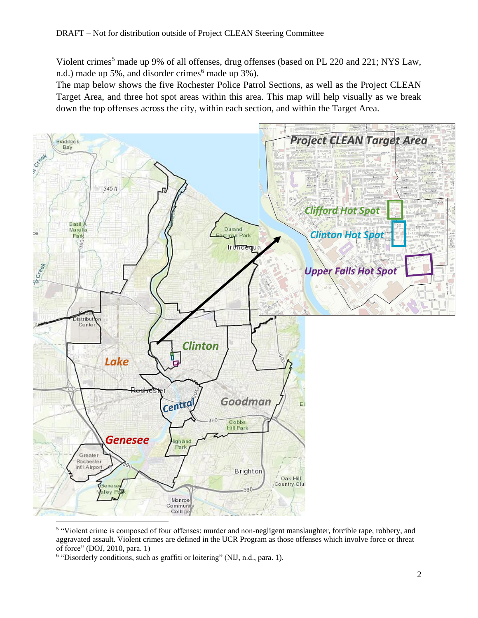Violent crimes<sup>5</sup> made up 9% of all offenses, drug offenses (based on PL 220 and 221; NYS Law, n.d.) made up 5%, and disorder crimes<sup> $6$ </sup> made up 3%).

The map below shows the five Rochester Police Patrol Sections, as well as the Project CLEAN Target Area, and three hot spot areas within this area. This map will help visually as we break down the top offenses across the city, within each section, and within the Target Area.



<sup>&</sup>lt;sup>5</sup> "Violent crime is composed of four offenses: murder and non-negligent manslaughter, forcible rape, robbery, and aggravated assault. Violent crimes are defined in the UCR Program as those offenses which involve force or threat of force" (DOJ, 2010, para. 1)

<sup>&</sup>lt;sup>6</sup> "Disorderly conditions, such as graffiti or loitering" (NIJ, n.d., para. 1).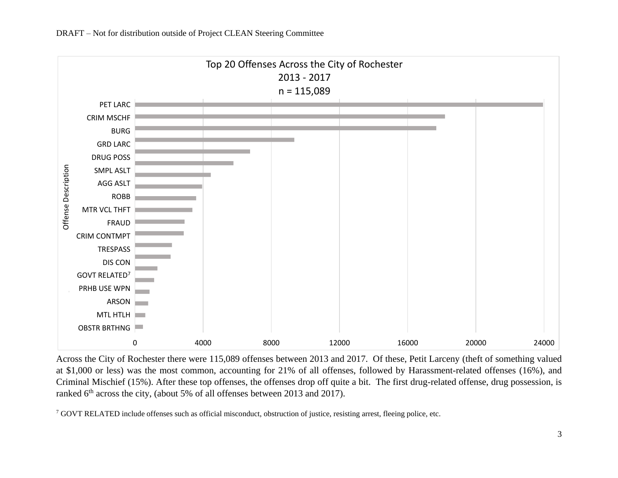

Across the City of Rochester there were 115,089 offenses between 2013 and 2017. Of these, Petit Larceny (theft of something valued at \$1,000 or less) was the most common, accounting for 21% of all offenses, followed by Harassment-related offenses (16%), and Criminal Mischief (15%). After these top offenses, the offenses drop off quite a bit. The first drug-related offense, drug possession, is ranked  $6<sup>th</sup>$  across the city, (about 5% of all offenses between 2013 and 2017).

<sup>7</sup> GOVT RELATED include offenses such as official misconduct, obstruction of justice, resisting arrest, fleeing police, etc.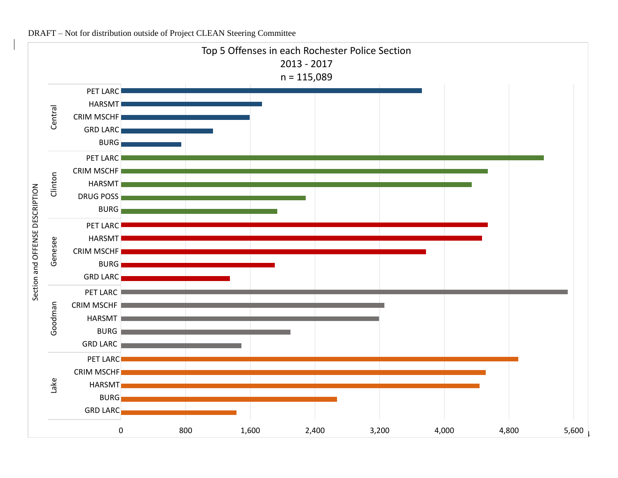

DRAFT – Not for distribution outside of Project CLEAN Steering Committee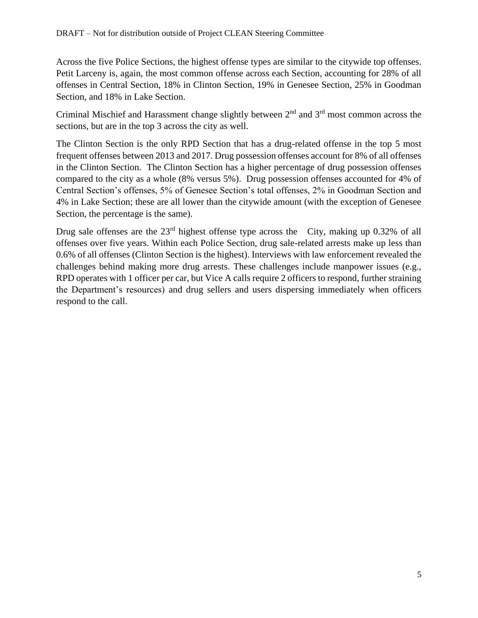Across the five Police Sections, the highest offense types are similar to the citywide top offenses. Petit Larceny is, again, the most common offense across each Section, accounting for 28% of all offenses in Central Section, 18% in Clinton Section, 19% in Genesee Section, 25% in Goodman Section, and 18% in Lake Section.

Criminal Mischief and Harassment change slightly between  $2<sup>nd</sup>$  and  $3<sup>rd</sup>$  most common across the sections, but are in the top 3 across the city as well.

The Clinton Section is the only RPD Section that has a drug-related offense in the top 5 most frequent offenses between 2013 and 2017. Drug possession offenses account for 8% of all offenses in the Clinton Section. The Clinton Section has a higher percentage of drug possession offenses compared to the city as a whole (8% versus 5%). Drug possession offenses accounted for 4% of Central Section's offenses, 5% of Genesee Section's total offenses, 2% in Goodman Section and 4% in Lake Section; these are all lower than the citywide amount (with the exception of Genesee Section, the percentage is the same).

Drug sale offenses are the 23<sup>rd</sup> highest offense type across the City, making up 0.32% of all offenses over five years. Within each Police Section, drug sale-related arrests make up less than 0.6% of all offenses (Clinton Section is the highest). Interviews with law enforcement revealed the challenges behind making more drug arrests. These challenges include manpower issues (e.g., RPD operates with 1 officer per car, but Vice A calls require 2 officers to respond, further straining the Department's resources) and drug sellers and users dispersing immediately when officers respond to the call.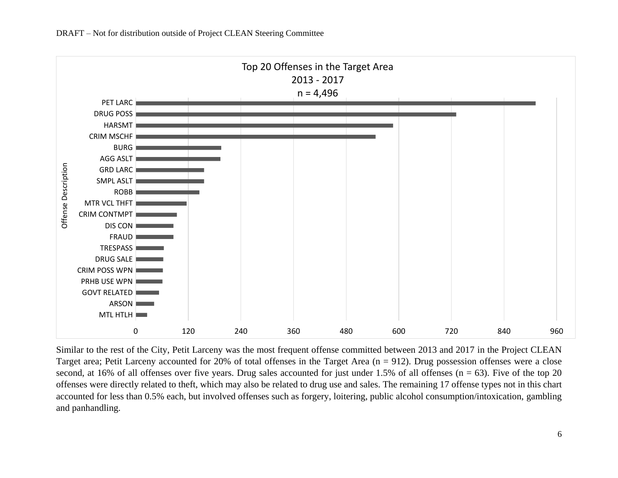

Similar to the rest of the City, Petit Larceny was the most frequent offense committed between 2013 and 2017 in the Project CLEAN Target area; Petit Larceny accounted for 20% of total offenses in the Target Area (n = 912). Drug possession offenses were a close second, at 16% of all offenses over five years. Drug sales accounted for just under 1.5% of all offenses ( $n = 63$ ). Five of the top 20 offenses were directly related to theft, which may also be related to drug use and sales. The remaining 17 offense types not in this chart accounted for less than 0.5% each, but involved offenses such as forgery, loitering, public alcohol consumption/intoxication, gambling and panhandling.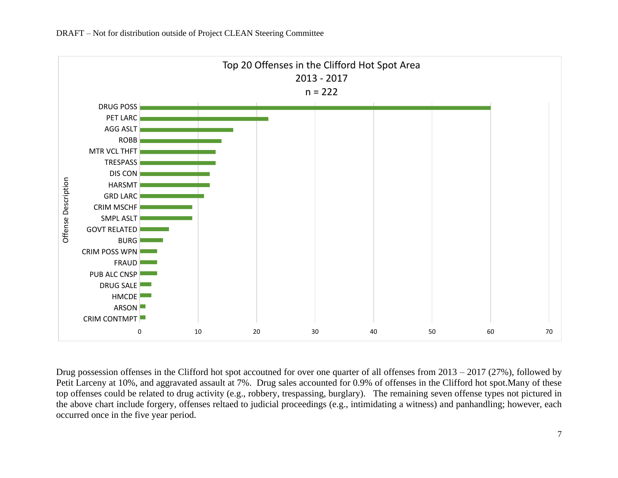

Drug possession offenses in the Clifford hot spot accoutned for over one quarter of all offenses from 2013 – 2017 (27%), followed by Petit Larceny at 10%, and aggravated assault at 7%. Drug sales accounted for 0.9% of offenses in the Clifford hot spot.Many of these top offenses could be related to drug activity (e.g., robbery, trespassing, burglary). The remaining seven offense types not pictured in the above chart include forgery, offenses reltaed to judicial proceedings (e.g., intimidating a witness) and panhandling; however, each occurred once in the five year period.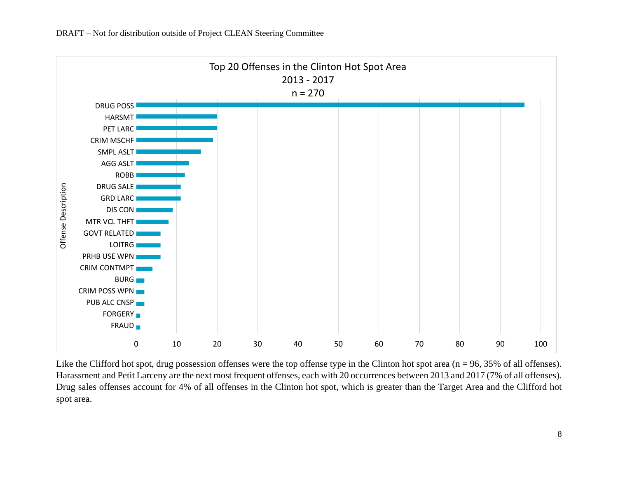

Like the Clifford hot spot, drug possession offenses were the top offense type in the Clinton hot spot area (n = 96, 35% of all offenses). Harassment and Petit Larceny are the next most frequent offenses, each with 20 occurrences between 2013 and 2017 (7% of all offenses). Drug sales offenses account for 4% of all offenses in the Clinton hot spot, which is greater than the Target Area and the Clifford hot spot area.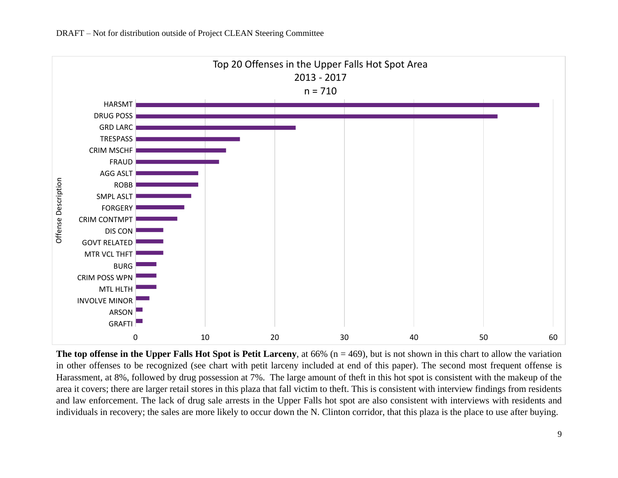

**The top offense in the Upper Falls Hot Spot is Petit Larceny**, at  $66\%$  ( $n = 469$ ), but is not shown in this chart to allow the variation in other offenses to be recognized (see chart with petit larceny included at end of this paper). The second most frequent offense is Harassment, at 8%, followed by drug possession at 7%. The large amount of theft in this hot spot is consistent with the makeup of the area it covers; there are larger retail stores in this plaza that fall victim to theft. This is consistent with interview findings from residents and law enforcement. The lack of drug sale arrests in the Upper Falls hot spot are also consistent with interviews with residents and individuals in recovery; the sales are more likely to occur down the N. Clinton corridor, that this plaza is the place to use after buying.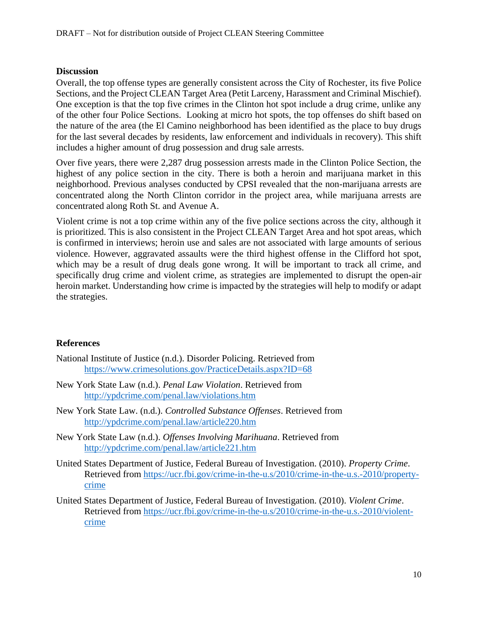#### **Discussion**

Overall, the top offense types are generally consistent across the City of Rochester, its five Police Sections, and the Project CLEAN Target Area (Petit Larceny, Harassment and Criminal Mischief). One exception is that the top five crimes in the Clinton hot spot include a drug crime, unlike any of the other four Police Sections. Looking at micro hot spots, the top offenses do shift based on the nature of the area (the El Camino neighborhood has been identified as the place to buy drugs for the last several decades by residents, law enforcement and individuals in recovery). This shift includes a higher amount of drug possession and drug sale arrests.

Over five years, there were 2,287 drug possession arrests made in the Clinton Police Section, the highest of any police section in the city. There is both a heroin and marijuana market in this neighborhood. Previous analyses conducted by CPSI revealed that the non-marijuana arrests are concentrated along the North Clinton corridor in the project area, while marijuana arrests are concentrated along Roth St. and Avenue A.

Violent crime is not a top crime within any of the five police sections across the city, although it is prioritized. This is also consistent in the Project CLEAN Target Area and hot spot areas, which is confirmed in interviews; heroin use and sales are not associated with large amounts of serious violence. However, aggravated assaults were the third highest offense in the Clifford hot spot, which may be a result of drug deals gone wrong. It will be important to track all crime, and specifically drug crime and violent crime, as strategies are implemented to disrupt the open-air heroin market. Understanding how crime is impacted by the strategies will help to modify or adapt the strategies.

#### **References**

- National Institute of Justice (n.d.). Disorder Policing. Retrieved from <https://www.crimesolutions.gov/PracticeDetails.aspx?ID=68>
- New York State Law (n.d.). *Penal Law Violation*. Retrieved from <http://ypdcrime.com/penal.law/violations.htm>
- New York State Law. (n.d.). *Controlled Substance Offenses*. Retrieved from <http://ypdcrime.com/penal.law/article220.htm>
- New York State Law (n.d.). *Offenses Involving Marihuana*. Retrieved from <http://ypdcrime.com/penal.law/article221.htm>
- United States Department of Justice, Federal Bureau of Investigation. (2010). *Property Crime*. Retrieved from [https://ucr.fbi.gov/crime-in-the-u.s/2010/crime-in-the-u.s.-2010/property](https://ucr.fbi.gov/crime-in-the-u.s/2010/crime-in-the-u.s.-2010/property-crime)[crime](https://ucr.fbi.gov/crime-in-the-u.s/2010/crime-in-the-u.s.-2010/property-crime)
- United States Department of Justice, Federal Bureau of Investigation. (2010). *Violent Crime*. Retrieved from [https://ucr.fbi.gov/crime-in-the-u.s/2010/crime-in-the-u.s.-2010/violent](https://ucr.fbi.gov/crime-in-the-u.s/2010/crime-in-the-u.s.-2010/violent-crime)[crime](https://ucr.fbi.gov/crime-in-the-u.s/2010/crime-in-the-u.s.-2010/violent-crime)